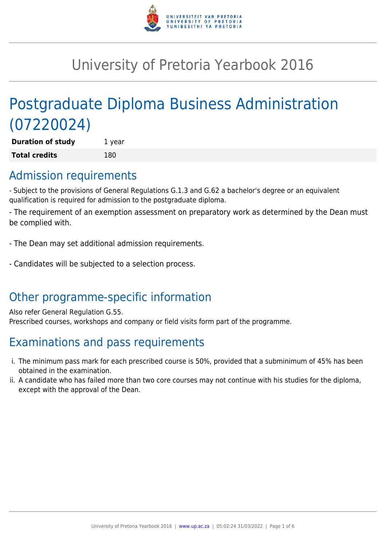

## University of Pretoria Yearbook 2016

# Postgraduate Diploma Business Administration (07220024)

**Duration of study** 1 year **Total credits** 180

### Admission requirements

- Subject to the provisions of General Regulations G.1.3 and G.62 a bachelor's degree or an equivalent qualification is required for admission to the postgraduate diploma.

- The requirement of an exemption assessment on preparatory work as determined by the Dean must be complied with.

- The Dean may set additional admission requirements.

- Candidates will be subjected to a selection process.

### Other programme-specific information

Also refer General Regulation G.55. Prescribed courses, workshops and company or field visits form part of the programme.

## Examinations and pass requirements

- i. The minimum pass mark for each prescribed course is 50%, provided that a subminimum of 45% has been obtained in the examination.
- ii. A candidate who has failed more than two core courses may not continue with his studies for the diploma, except with the approval of the Dean.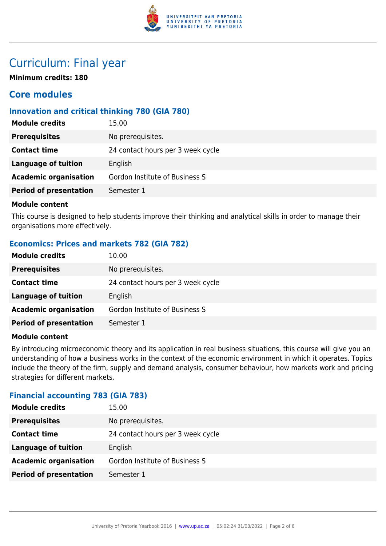

### Curriculum: Final year

**Minimum credits: 180**

### **Core modules**

#### **Innovation and critical thinking 780 (GIA 780)**

| <b>Module credits</b>         | 15.00                             |
|-------------------------------|-----------------------------------|
| <b>Prerequisites</b>          | No prerequisites.                 |
| <b>Contact time</b>           | 24 contact hours per 3 week cycle |
| <b>Language of tuition</b>    | English                           |
| <b>Academic organisation</b>  | Gordon Institute of Business S    |
| <b>Period of presentation</b> | Semester 1                        |
|                               |                                   |

#### **Module content**

This course is designed to help students improve their thinking and analytical skills in order to manage their organisations more effectively.

#### **Economics: Prices and markets 782 (GIA 782)**

| <b>Module credits</b>         | 10.00                             |
|-------------------------------|-----------------------------------|
| <b>Prerequisites</b>          | No prerequisites.                 |
| <b>Contact time</b>           | 24 contact hours per 3 week cycle |
| <b>Language of tuition</b>    | English                           |
| <b>Academic organisation</b>  | Gordon Institute of Business S    |
| <b>Period of presentation</b> | Semester 1                        |

#### **Module content**

By introducing microeconomic theory and its application in real business situations, this course will give you an understanding of how a business works in the context of the economic environment in which it operates. Topics include the theory of the firm, supply and demand analysis, consumer behaviour, how markets work and pricing strategies for different markets.

#### **Financial accounting 783 (GIA 783)**

| 15.00                             |
|-----------------------------------|
| No prerequisites.                 |
| 24 contact hours per 3 week cycle |
| English                           |
| Gordon Institute of Business S    |
| Semester 1                        |
|                                   |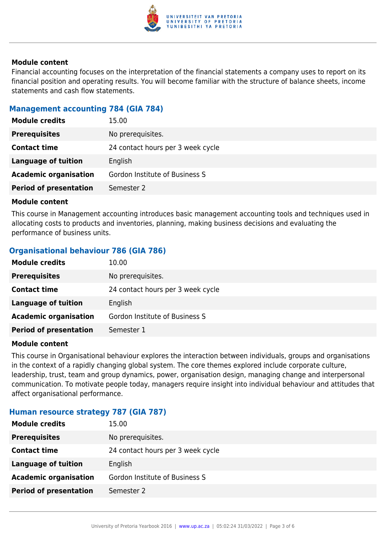

#### **Module content**

Financial accounting focuses on the interpretation of the financial statements a company uses to report on its financial position and operating results. You will become familiar with the structure of balance sheets, income statements and cash flow statements.

#### **Management accounting 784 (GIA 784)**

| <b>Module credits</b>         | 15.00                             |
|-------------------------------|-----------------------------------|
| <b>Prerequisites</b>          | No prerequisites.                 |
| <b>Contact time</b>           | 24 contact hours per 3 week cycle |
| Language of tuition           | English                           |
| <b>Academic organisation</b>  | Gordon Institute of Business S    |
| <b>Period of presentation</b> | Semester 2                        |

#### **Module content**

This course in Management accounting introduces basic management accounting tools and techniques used in allocating costs to products and inventories, planning, making business decisions and evaluating the performance of business units.

#### **Organisational behaviour 786 (GIA 786)**

| <b>Module credits</b>         | 10.00                             |
|-------------------------------|-----------------------------------|
| <b>Prerequisites</b>          | No prerequisites.                 |
| <b>Contact time</b>           | 24 contact hours per 3 week cycle |
| <b>Language of tuition</b>    | English                           |
| <b>Academic organisation</b>  | Gordon Institute of Business S    |
| <b>Period of presentation</b> | Semester 1                        |

#### **Module content**

This course in Organisational behaviour explores the interaction between individuals, groups and organisations in the context of a rapidly changing global system. The core themes explored include corporate culture, leadership, trust, team and group dynamics, power, organisation design, managing change and interpersonal communication. To motivate people today, managers require insight into individual behaviour and attitudes that affect organisational performance.

#### **Human resource strategy 787 (GIA 787)**

| <b>Module credits</b>         | 15.00                             |
|-------------------------------|-----------------------------------|
| <b>Prerequisites</b>          | No prerequisites.                 |
| <b>Contact time</b>           | 24 contact hours per 3 week cycle |
| <b>Language of tuition</b>    | English                           |
| <b>Academic organisation</b>  | Gordon Institute of Business S    |
| <b>Period of presentation</b> | Semester 2                        |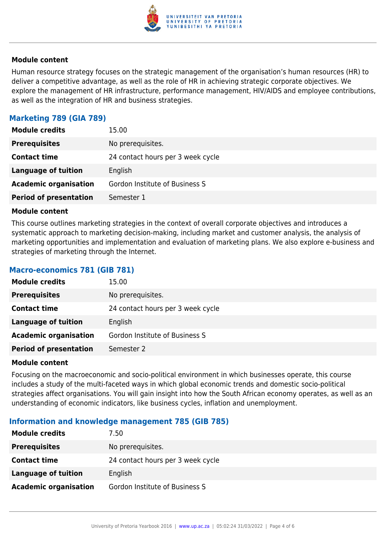

#### **Module content**

Human resource strategy focuses on the strategic management of the organisation's human resources (HR) to deliver a competitive advantage, as well as the role of HR in achieving strategic corporate objectives. We explore the management of HR infrastructure, performance management, HIV/AIDS and employee contributions, as well as the integration of HR and business strategies.

#### **Marketing 789 (GIA 789)**

| <b>Module credits</b>         | 15.00                             |
|-------------------------------|-----------------------------------|
| <b>Prerequisites</b>          | No prerequisites.                 |
| <b>Contact time</b>           | 24 contact hours per 3 week cycle |
| <b>Language of tuition</b>    | English                           |
| <b>Academic organisation</b>  | Gordon Institute of Business S    |
| <b>Period of presentation</b> | Semester 1                        |

#### **Module content**

This course outlines marketing strategies in the context of overall corporate objectives and introduces a systematic approach to marketing decision-making, including market and customer analysis, the analysis of marketing opportunities and implementation and evaluation of marketing plans. We also explore e-business and strategies of marketing through the Internet.

#### **Macro-economics 781 (GIB 781)**

| <b>Module credits</b>         | 15.00                             |
|-------------------------------|-----------------------------------|
| <b>Prerequisites</b>          | No prerequisites.                 |
| <b>Contact time</b>           | 24 contact hours per 3 week cycle |
| Language of tuition           | English                           |
| <b>Academic organisation</b>  | Gordon Institute of Business S    |
| <b>Period of presentation</b> | Semester 2                        |

#### **Module content**

Focusing on the macroeconomic and socio-political environment in which businesses operate, this course includes a study of the multi-faceted ways in which global economic trends and domestic socio-political strategies affect organisations. You will gain insight into how the South African economy operates, as well as an understanding of economic indicators, like business cycles, inflation and unemployment.

#### **Information and knowledge management 785 (GIB 785)**

| <b>Module credits</b>        | 7.50                              |
|------------------------------|-----------------------------------|
| <b>Prerequisites</b>         | No prerequisites.                 |
| <b>Contact time</b>          | 24 contact hours per 3 week cycle |
| Language of tuition          | English                           |
| <b>Academic organisation</b> | Gordon Institute of Business S    |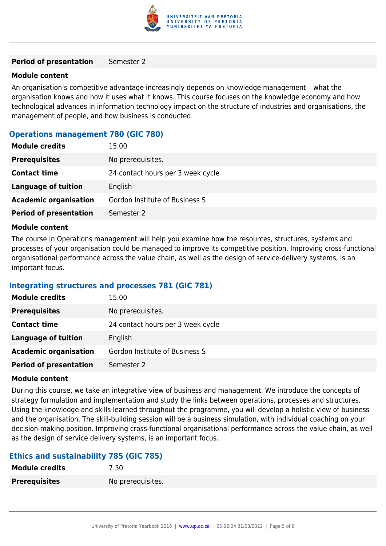

#### **Period of presentation** Semester 2

#### **Module content**

An organisation's competitive advantage increasingly depends on knowledge management – what the organisation knows and how it uses what it knows. This course focuses on the knowledge economy and how technological advances in information technology impact on the structure of industries and organisations, the management of people, and how business is conducted.

#### **Operations management 780 (GIC 780)**

| <b>Module credits</b><br>15.00              |                                   |
|---------------------------------------------|-----------------------------------|
| No prerequisites.<br><b>Prerequisites</b>   |                                   |
| <b>Contact time</b>                         | 24 contact hours per 3 week cycle |
| <b>Language of tuition</b><br>English       |                                   |
| <b>Academic organisation</b>                | Gordon Institute of Business S    |
| <b>Period of presentation</b><br>Semester 2 |                                   |

#### **Module content**

The course in Operations management will help you examine how the resources, structures, systems and processes of your organisation could be managed to improve its competitive position. Improving cross-functional organisational performance across the value chain, as well as the design of service-delivery systems, is an important focus.

#### **Integrating structures and processes 781 (GIC 781)**

| <b>Module credits</b>         | 15.00                             |
|-------------------------------|-----------------------------------|
| <b>Prerequisites</b>          | No prerequisites.                 |
| <b>Contact time</b>           | 24 contact hours per 3 week cycle |
| Language of tuition           | English                           |
| <b>Academic organisation</b>  | Gordon Institute of Business S    |
| <b>Period of presentation</b> | Semester 2                        |

#### **Module content**

During this course, we take an integrative view of business and management. We introduce the concepts of strategy formulation and implementation and study the links between operations, processes and structures. Using the knowledge and skills learned throughout the programme, you will develop a holistic view of business and the organisation. The skill-building session will be a business simulation, with individual coaching on your decision-making.position. Improving cross-functional organisational performance across the value chain, as well as the design of service delivery systems, is an important focus.

#### **Ethics and sustainability 785 (GIC 785)**

| <b>Module credits</b> | 7.50              |
|-----------------------|-------------------|
| <b>Prerequisites</b>  | No prerequisites. |